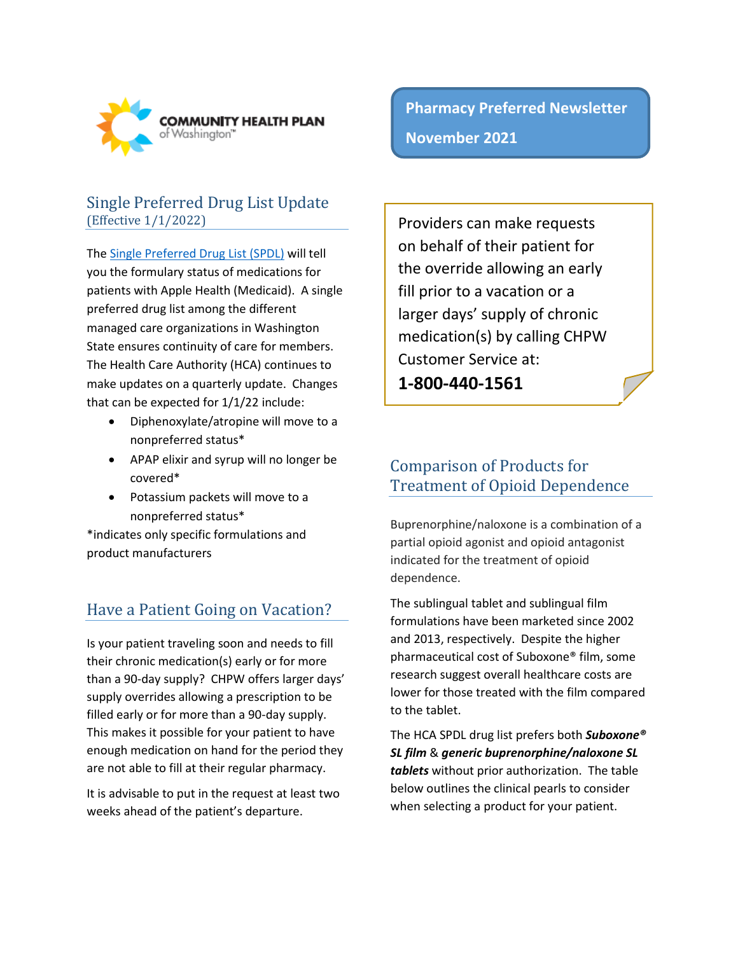

#### Single Preferred Drug List Update (Effective 1/1/2022)

The [Single Preferred Drug List](https://www.hca.wa.gov/billers-providers-partners/programs-and-services/apple-health-preferred-drug-list-pdl) (SPDL) will tell you the formulary status of medications for patients with Apple Health (Medicaid). A single preferred drug list among the different managed care organizations in Washington State ensures continuity of care for members. The Health Care Authority (HCA) continues to make updates on a quarterly update. Changes that can be expected for 1/1/22 include:

- Diphenoxylate/atropine will move to a nonpreferred status\*
- APAP elixir and syrup will no longer be covered\*
- Potassium packets will move to a nonpreferred status\*

\*indicates only specific formulations and product manufacturers

# Have a Patient Going on Vacation?

Is your patient traveling soon and needs to fill their chronic medication(s) early or for more than a 90-day supply? CHPW offers larger days' supply overrides allowing a prescription to be filled early or for more than a 90-day supply. This makes it possible for your patient to have enough medication on hand for the period they are not able to fill at their regular pharmacy.

It is advisable to put in the request at least two weeks ahead of the patient's departure.

**Pharmacy Preferred Newsletter November 2021**

Providers can make requests on behalf of their patient for the override allowing an early fill prior to a vacation or a larger days' supply of chronic medication(s) by calling CHPW Customer Service at: **1-800-440-1561** 

### Comparison of Products for Treatment of Opioid Dependence

Buprenorphine/naloxone is a combination of a partial opioid agonist and opioid antagonist indicated for the treatment of opioid dependence.

The sublingual tablet and sublingual film formulations have been marketed since 2002 and 2013, respectively. Despite the higher pharmaceutical cost of Suboxone® film, some research suggest overall healthcare costs are lower for those treated with the film compared to the tablet.

The HCA SPDL drug list prefers both *Suboxone® SL film* & *generic buprenorphine/naloxone SL tablets* without prior authorization. The table below outlines the clinical pearls to consider when selecting a product for your patient.